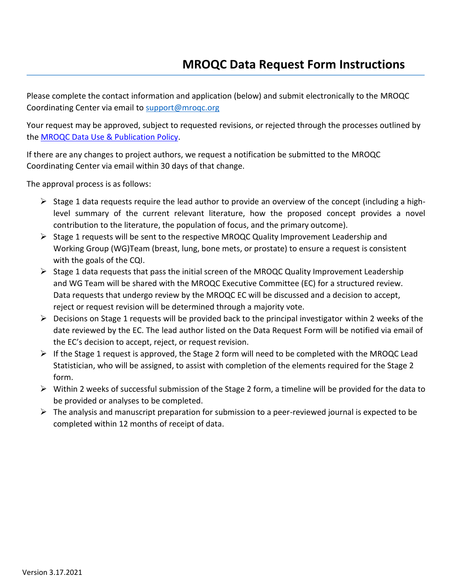Please complete the contact information and application (below) and submit electronically to the MROQC Coordinating Center via email to support@mroqc.org

Your request may be approved, subject to requested revisions, or rejected through the processes outlined by the [MROQC Data Use & Publication Policy.](https://www.mroqc.org/sites/default/files/MROQC%20Data%20Use%20%26%20Publications%20Policy%20v.09.27.18_0_1.pdf)

If there are any changes to project authors, we request a notification be submitted to the MROQC Coordinating Center via email within 30 days of that change.

The approval process is as follows:

- $\triangleright$  Stage 1 data requests require the lead author to provide an overview of the concept (including a highlevel summary of the current relevant literature, how the proposed concept provides a novel contribution to the literature, the population of focus, and the primary outcome).
- $\triangleright$  Stage 1 requests will be sent to the respective MROQC Quality Improvement Leadership and Working Group (WG)Team (breast, lung, bone mets, or prostate) to ensure a request is consistent with the goals of the CQI.
- $\triangleright$  Stage 1 data requests that pass the initial screen of the MROQC Quality Improvement Leadership and WG Team will be shared with the MROQC Executive Committee (EC) for a structured review. Data requests that undergo review by the MROQC EC will be discussed and a decision to accept, reject or request revision will be determined through a majority vote.
- $\triangleright$  Decisions on Stage 1 requests will be provided back to the principal investigator within 2 weeks of the date reviewed by the EC. The lead author listed on the Data Request Form will be notified via email of the EC's decision to accept, reject, or request revision.
- $\triangleright$  If the Stage 1 request is approved, the Stage 2 form will need to be completed with the MROQC Lead Statistician, who will be assigned, to assist with completion of the elements required for the Stage 2 form.
- $\triangleright$  Within 2 weeks of successful submission of the Stage 2 form, a timeline will be provided for the data to be provided or analyses to be completed.
- $\triangleright$  The analysis and manuscript preparation for submission to a peer-reviewed journal is expected to be completed within 12 months of receipt of data.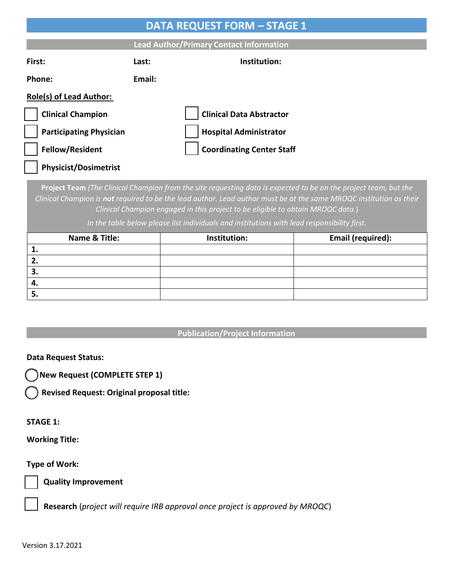| <b>DATA REQUEST FORM - STAGE 1</b>                                                                                                                                                                                                                                                                                         |        |                                  |                   |  |
|----------------------------------------------------------------------------------------------------------------------------------------------------------------------------------------------------------------------------------------------------------------------------------------------------------------------------|--------|----------------------------------|-------------------|--|
| <b>Lead Author/Primary Contact Information</b>                                                                                                                                                                                                                                                                             |        |                                  |                   |  |
| First:                                                                                                                                                                                                                                                                                                                     | Last:  | Institution:                     |                   |  |
| Phone:                                                                                                                                                                                                                                                                                                                     | Email: |                                  |                   |  |
| <b>Role(s) of Lead Author:</b>                                                                                                                                                                                                                                                                                             |        |                                  |                   |  |
| <b>Clinical Champion</b>                                                                                                                                                                                                                                                                                                   |        | <b>Clinical Data Abstractor</b>  |                   |  |
| <b>Participating Physician</b>                                                                                                                                                                                                                                                                                             |        | <b>Hospital Administrator</b>    |                   |  |
| <b>Fellow/Resident</b>                                                                                                                                                                                                                                                                                                     |        | <b>Coordinating Center Staff</b> |                   |  |
| <b>Physicist/Dosimetrist</b>                                                                                                                                                                                                                                                                                               |        |                                  |                   |  |
| Project Team (The Clinical Champion from the site requesting data is expected to be on the project team, but the<br>Clinical Champion is not required to be the lead author. Lead author must be at the same MROQC institution as their<br>Clinical Champion engaged in this project to be eligible to obtain MROQC data.) |        |                                  |                   |  |
| In the table below please list individuals and institutions with lead responsibility first.                                                                                                                                                                                                                                |        |                                  |                   |  |
| Name & Title:                                                                                                                                                                                                                                                                                                              |        | Institution:                     | Email (required): |  |
| 1.<br>2.                                                                                                                                                                                                                                                                                                                   |        |                                  |                   |  |
| 3.                                                                                                                                                                                                                                                                                                                         |        |                                  |                   |  |
| 4.                                                                                                                                                                                                                                                                                                                         |        |                                  |                   |  |
| 5.                                                                                                                                                                                                                                                                                                                         |        |                                  |                   |  |

# **Publication/Project Information**

### **Data Request Status:**

**New Request (COMPLETE STEP 1)**

**Revised Request: Original proposal title:** 

#### **STAGE 1:**

**Working Title:**

### **Type of Work:**



**Quality Improvement**

 **Research** (*project will require IRB approval once project is approved by MROQC*)